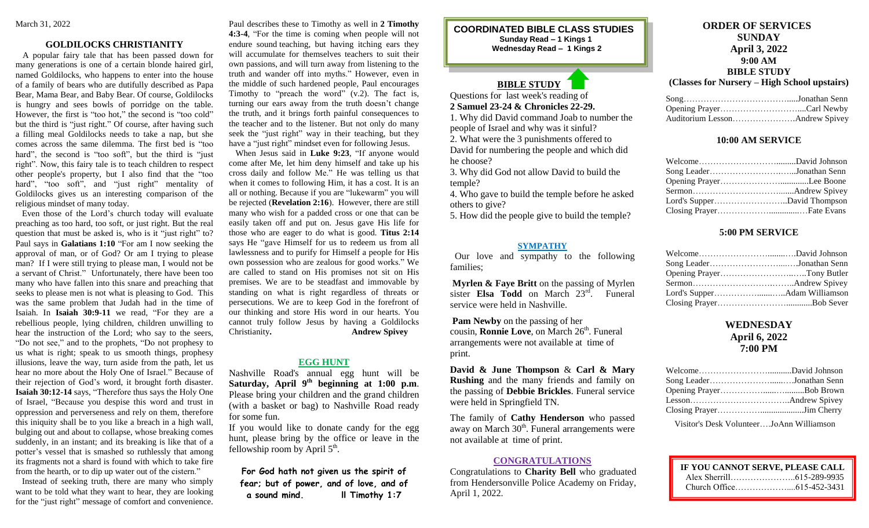#### **GOLDILOCKS CHRISTIANITY**

 A popular fairy tale that has been passed down for many generations is one of a certain blonde haired girl, named Goldilocks, who happens to enter into the house of a family of bears who are dutifully described as Papa Bear, Mama Bear, and Baby Bear. Of course, Goldilocks is hungry and sees bowls of porridge on the table. However, the first is "too hot," the second is "too cold" but the third is "just right." Of course, after having such a filling meal Goldilocks needs to take a nap, but she comes across the same dilemma. The first bed is "too hard", the second is "too soft", but the third is "just right". Now, this fairy tale is to teach children to respect other people's property, but I also find that the "too hard", "too soft", and "just right" mentality of Goldilocks gives us an interesting comparison of the religious mindset of many today.

 Even those of the Lord's church today will evaluate preaching as too hard, too soft, or just right. But the real question that must be asked is, who is it "just right" to? Paul says in **Galatians 1:10** "For am I now seeking the approval of man, or of God? Or am I trying to please man? If I were still trying to please man, I would not be a servant of Christ." Unfortunately, there have been too many who have fallen into this snare and preaching that seeks to please men is not what is pleasing to God. This was the same problem that Judah had in the time of Isaiah. In **Isaiah 30:9-11** we read, "For they are a rebellious people, lying children, children unwilling to hear the instruction of the Lord; who say to the seers, "Do not see," and to the prophets, "Do not prophesy to us what is right; speak to us smooth things, prophesy illusions, leave the way, turn aside from the path, let us hear no more about the Holy One of Israel." Because of their rejection of God's word, it brought forth disaster. **Isaiah 30:12-14** says, "Therefore thus says the Holy One of Israel, "Because you despise this word and trust in oppression and perverseness and rely on them, therefore this iniquity shall be to you like a breach in a high wall, bulging out and about to collapse, whose breaking comes suddenly, in an instant; and its breaking is like that of a potter's vessel that is smashed so ruthlessly that among its fragments not a shard is found with which to take fire from the hearth, or to dip up water out of the cistern."

 Instead of seeking truth, there are many who simply want to be told what they want to hear, they are looking for the "just right" message of comfort and convenience.

Paul describes these to Timothy as well in **2 Timothy 4:3-4**, "For the time is coming when people will not endure sound teaching, but having itching ears they will accumulate for themselves teachers to suit their own passions, and will turn away from listening to the truth and wander off into myths." However, even in the middle of such hardened people, Paul encourages Timothy to "preach the word"  $(v.2)$ . The fact is, turning our ears away from the truth doesn't change the truth, and it brings forth painful consequences to the teacher and to the listener. But not only do many seek the "just right" way in their teaching, but they have a "just right" mindset even for following Jesus.

 When Jesus said in **Luke 9:23**, "If anyone would come after Me, let him deny himself and take up his cross daily and follow Me." He was telling us that when it comes to following Him, it has a cost. It is an all or nothing. Because if you are "lukewarm" you will be rejected (**Revelation 2:16**). However, there are still many who wish for a padded cross or one that can be easily taken off and put on. Jesus gave His life for those who are eager to do what is good. **Titus 2:14** says He "gave Himself for us to redeem us from all lawlessness and to purify for Himself a people for His own possession who are zealous for good works." We are called to stand on His promises not sit on His premises. We are to be steadfast and immovable by standing on what is right regardless of threats or persecutions. We are to keep God in the forefront of our thinking and store His word in our hearts. You cannot truly follow Jesus by having a Goldilocks Christianity**. Andrew Spivey**

#### **EGG HUNT**

Nashville Road's annual egg hunt will be **Saturday, April 9 th beginning at 1:00 p.m**. Please bring your children and the grand children (with a basket or bag) to Nashville Road ready for some fun.

If you would like to donate candy for the egg hunt, please bring by the office or leave in the fellowship room by April  $5<sup>th</sup>$ .

**For God hath not given us the spirit of fear; but of power, and of love, and of a sound mind. ll Timothy 1:7**

**COORDINATED BIBLE CLASS STUDIES Sunday Read – 1 Kings 1**

**Wednesday Read – 1 Kings 2**

# **BIBLE STUDY**

Questions for last week's reading of **2 Samuel 23-24 & Chronicles 22-29.**

1. Why did David command Joab to number the people of Israel and why was it sinful?

2. What were the 3 punishments offered to David for numbering the people and which did he choose?

3. Why did God not allow David to build the temple?

4. Who gave to build the temple before he asked others to give?

5. How did the people give to build the temple?

#### **SYMPATHY**

 Our love and sympathy to the following families;

**Myrlen & Faye Britt** on the passing of Myrlen sister **Elsa Todd** on March 23rd . Funeral service were held in Nashville.

**Pam Newby** on the passing of her cousin, **Ronnie Love**, on March 26<sup>th</sup>. Funeral arrangements were not available at time of print.

**David & June Thompson** & **Carl & Mary Rushing** and the many friends and family on the passing of **Debbie Brickles**. Funeral service were held in Springfield TN.

The family of **Cathy Henderson** who passed away on March 30<sup>th</sup>. Funeral arrangements were not available at time of print.

### **CONGRATULATIONS**

Congratulations to **Charity Bell** who graduated from Hendersonville Police Academy on Friday, April 1, 2022.

## **ORDER OF SERVICES SUNDAY April 3, 2022 9:00 AM BIBLE STUDY**

**(Classes for Nursery – High School upstairs)**

#### **10:00 AM SERVICE**

#### **5:00 PM SERVICE**

# **WEDNESDAY April 6, 2022 7:00 PM**

| Song LeaderJonathan Senn                 |  |
|------------------------------------------|--|
|                                          |  |
|                                          |  |
|                                          |  |
| Visitor's Desk VolunteerJoAnn Williamson |  |

| IF YOU CANNOT SERVE, PLEASE CALL |  |
|----------------------------------|--|
|                                  |  |
|                                  |  |
|                                  |  |